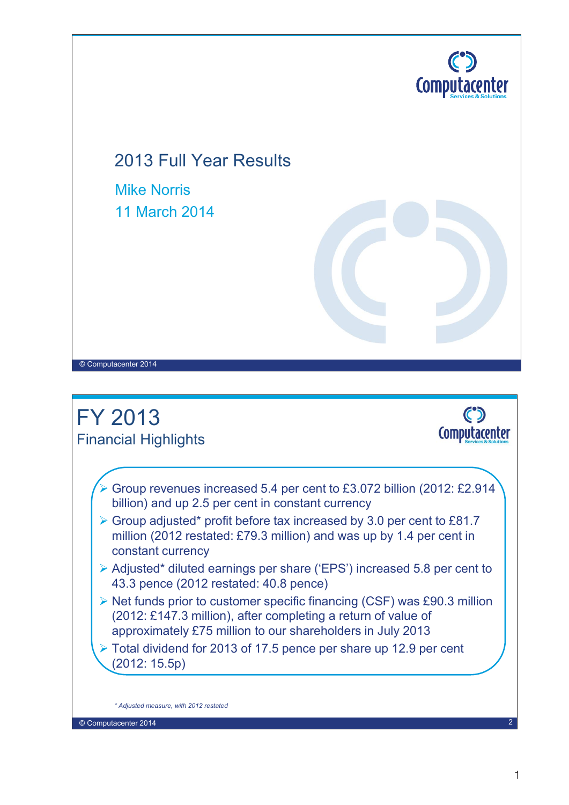



© Computacenter 2014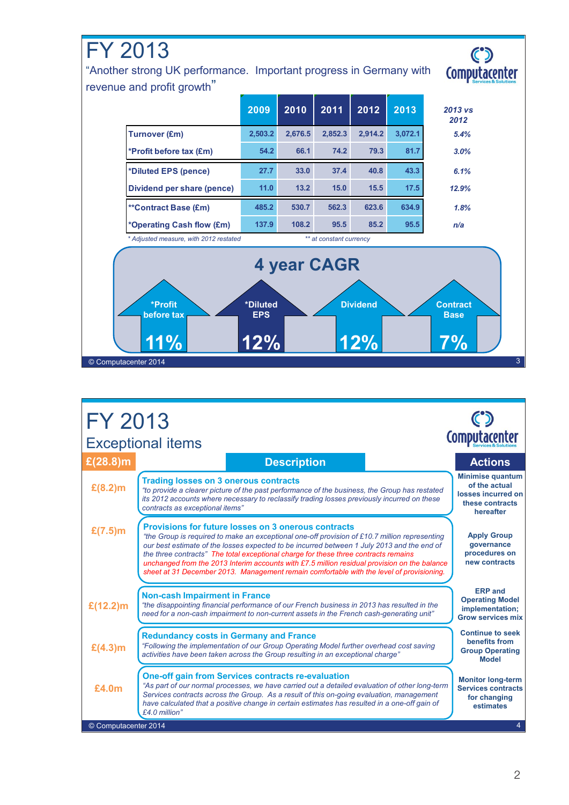

| <b>FY 2013</b>       | <b>Exceptional items</b>                                                                                                                                                                                                                                                                                                                                                                                                                                                                                                              | <b>Computacenter</b>                                                                           |
|----------------------|---------------------------------------------------------------------------------------------------------------------------------------------------------------------------------------------------------------------------------------------------------------------------------------------------------------------------------------------------------------------------------------------------------------------------------------------------------------------------------------------------------------------------------------|------------------------------------------------------------------------------------------------|
| £(28.8) m            | <b>Description</b>                                                                                                                                                                                                                                                                                                                                                                                                                                                                                                                    | <b>Actions</b>                                                                                 |
| $E(8.2)$ m           | <b>Trading losses on 3 onerous contracts</b><br>"to provide a clearer picture of the past performance of the business, the Group has restated<br>its 2012 accounts where necessary to reclassify trading losses previously incurred on these<br>contracts as exceptional items"                                                                                                                                                                                                                                                       | <b>Minimise quantum</b><br>of the actual<br>losses incurred on<br>these contracts<br>hereafter |
| $E(7.5)$ m           | Provisions for future losses on 3 onerous contracts<br>"the Group is required to make an exceptional one-off provision of £10.7 million representing<br>our best estimate of the losses expected to be incurred between 1 July 2013 and the end of<br>the three contracts" The total exceptional charge for these three contracts remains<br>unchanged from the 2013 Interim accounts with £7.5 million residual provision on the balance<br>sheet at 31 December 2013. Management remain comfortable with the level of provisioning. | <b>Apply Group</b><br>governance<br>procedures on<br>new contracts                             |
| £(12.2)m             | <b>Non-cash Impairment in France</b><br>"the disappointing financial performance of our French business in 2013 has resulted in the<br>need for a non-cash impairment to non-current assets in the French cash-generating unit"                                                                                                                                                                                                                                                                                                       | <b>ERP</b> and<br><b>Operating Model</b><br>implementation;<br><b>Grow services mix</b>        |
| $E(4.3)$ m           | <b>Redundancy costs in Germany and France</b><br>"Following the implementation of our Group Operating Model further overhead cost saving<br>activities have been taken across the Group resulting in an exceptional charge"                                                                                                                                                                                                                                                                                                           | <b>Continue to seek</b><br>benefits from<br><b>Group Operating</b><br><b>Model</b>             |
| £4.0m                | <b>One-off gain from Services contracts re-evaluation</b><br>"As part of our normal processes, we have carried out a detailed evaluation of other long-term<br>Services contracts across the Group. As a result of this on-going evaluation, management<br>have calculated that a positive change in certain estimates has resulted in a one-off gain of<br>£4.0 million"                                                                                                                                                             | <b>Monitor long-term</b><br><b>Services contracts</b><br>for changing<br>estimates             |
| © Computacenter 2014 |                                                                                                                                                                                                                                                                                                                                                                                                                                                                                                                                       | 4                                                                                              |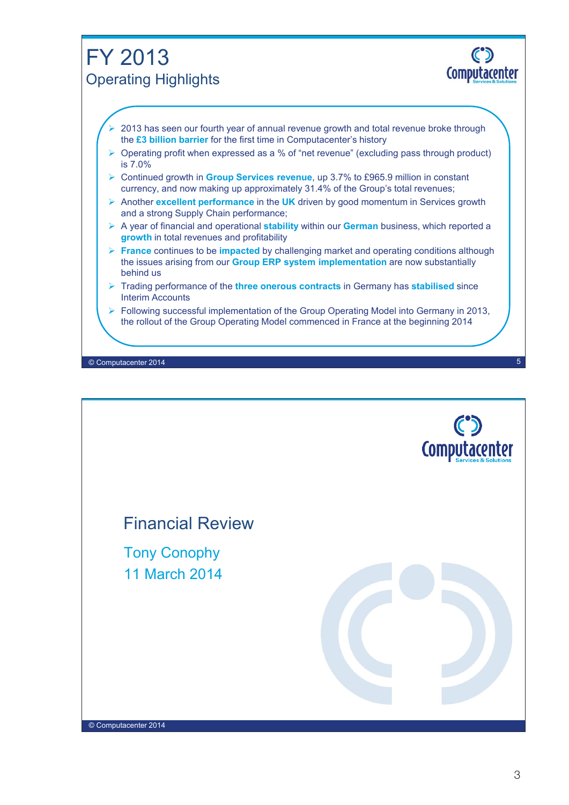

© Computacenter 2014

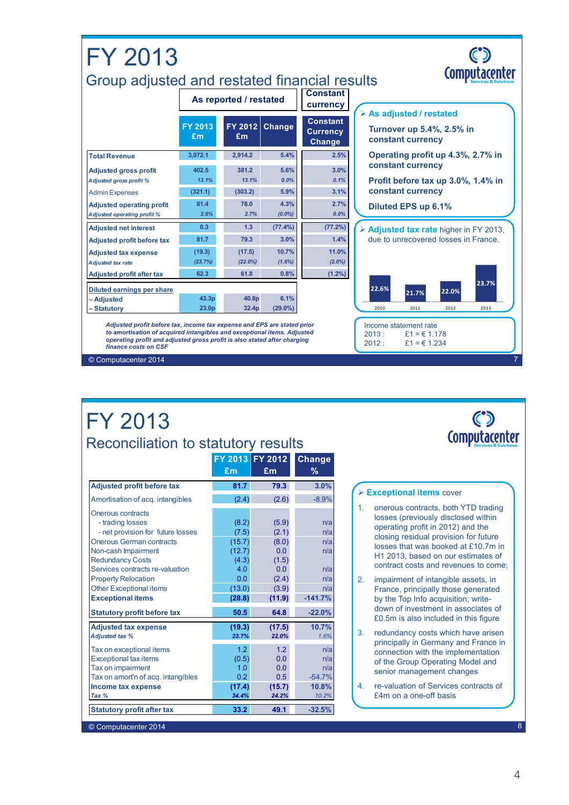| FY 2013<br>Group adjusted and restated financial results               |                   | As reported / restated |                   | <b>Constant</b><br>currency                  | <b>Computacenter</b><br>> As adjusted / restated                               |
|------------------------------------------------------------------------|-------------------|------------------------|-------------------|----------------------------------------------|--------------------------------------------------------------------------------|
|                                                                        | FY 2013<br>£m     | FY 2012<br>£m          | Change            | <b>Constant</b><br><b>Currency</b><br>Change | Turnover up 5.4%, 2.5% in<br>constant currency                                 |
| <b>Total Revenue</b>                                                   | 3,072.1           | 2,914.2                | 5.4%              | 2.5%                                         | Operating profit up 4.3%, 2.7% in                                              |
| <b>Adjusted gross profit</b>                                           | 402.5             | 381.2                  | 5.6%              | 3.0%                                         | constant currency                                                              |
| <b>Adjusted gross profit %</b>                                         | 13.1%             | 13.1%                  | 0.0%              | 0.1%                                         | Profit before tax up 3.0%, 1.4% in                                             |
| <b>Admin Expenses</b>                                                  | (321.1)           | (303.2)                | 5.9%              | 3.1%                                         | constant currency                                                              |
| <b>Adjusted operating profit</b><br><b>Adjusted operating profit %</b> | 81.4<br>2.6%      | 78.0<br>2.7%           | 4.3%<br>$(0.0\%)$ | 2.7%<br>0.0%                                 | Diluted EPS up 6.1%                                                            |
|                                                                        | 0.3               | 1.3                    | (77.4%)           | (77.2%)                                      |                                                                                |
| <b>Adjusted net interest</b>                                           | 81.7              | 79.3                   | 3.0%              | 1.4%                                         | > Adjusted tax rate higher in FY 2013,<br>due to unrecovered losses in France. |
| <b>Adjusted profit before tax</b>                                      |                   |                        |                   |                                              |                                                                                |
| <b>Adjusted tax expense</b><br><b>Adjusted tax rate</b>                | (19.3)<br>(23.7%) | (17.5)<br>(22.0%)      | 10.7%<br>(1.6%)   | 11.0%<br>$(2.0\%)$                           |                                                                                |
| <b>Adjusted profit after tax</b>                                       | 62.3              | 61.8                   | 0.8%              | $(1.2\%)$                                    |                                                                                |
| Diluted earnings per share                                             |                   |                        |                   |                                              | 23.7%<br>22.6%<br>22.0%                                                        |
| - Adjusted                                                             | 43.3p             | 40.8p                  | 6.1%              |                                              | 21.7%                                                                          |
| Statutory                                                              | 23.0 <sub>p</sub> | 32.4p                  | $(29.0\%)$        |                                              | 2010<br>2011<br>2012<br>2013                                                   |

*to amortisation of acquired intangibles and exceptional items. Adjusted operating profit and adjusted gross profit is also stated after charging finance costs on CSF*

© Computacenter 2014

## FY 2013 Reconciliation to statutory results

|                                                                                                                                                                                                                                                                                                | £m                                                                            | FY 2013 FY 2012<br>£m                                                      | <b>Change</b><br>$\%$                                      |
|------------------------------------------------------------------------------------------------------------------------------------------------------------------------------------------------------------------------------------------------------------------------------------------------|-------------------------------------------------------------------------------|----------------------------------------------------------------------------|------------------------------------------------------------|
| <b>Adjusted profit before tax</b>                                                                                                                                                                                                                                                              | 81.7                                                                          | 79.3                                                                       | 3.0%                                                       |
| Amortisation of acq. intangibles                                                                                                                                                                                                                                                               | (2.4)                                                                         | (2.6)                                                                      | $-8.9%$                                                    |
| Onerous contracts<br>- trading losses<br>- net provision for future losses<br><b>Onerous German contracts</b><br>Non-cash Impairment<br><b>Redundancy Costs</b><br>Services contracts re-valuation<br><b>Property Relocation</b><br><b>Other Exceptional items</b><br><b>Exceptional items</b> | (8.2)<br>(7.5)<br>(15.7)<br>(12.7)<br>(4.3)<br>4.0<br>0.0<br>(13.0)<br>(28.8) | (5.9)<br>(2.1)<br>(8.0)<br>0.0<br>(1.5)<br>0.0<br>(2.4)<br>(3.9)<br>(11.9) | n/a<br>n/a<br>n/a<br>n/a<br>n/a<br>n/a<br>n/a<br>$-141.7%$ |
| <b>Statutory profit before tax</b>                                                                                                                                                                                                                                                             | 50.5                                                                          | 64.8                                                                       | $-22.0%$                                                   |
| <b>Adjusted tax expense</b><br><b>Adjusted tax %</b>                                                                                                                                                                                                                                           | (19.3)<br>23.7%                                                               | (17.5)<br>22.0%                                                            | 10.7%<br>1.6%                                              |
| Tax on exceptional items<br><b>Exceptional tax items</b><br>Tax on impairment<br>Tax on amort'n of acq. intangibles<br>Income tax expense<br>Tax %                                                                                                                                             | 1.2<br>(0.5)<br>1.0<br>0.2 <sub>0</sub><br>(17.4)<br>34.4%                    | 1.2<br>0.0<br>0.0<br>0.5<br>(15.7)<br>24.2%                                | n/a<br>n/a<br>n/a<br>$-54.7%$<br>10.8%<br>10.2%            |
| <b>Statutory profit after tax</b>                                                                                                                                                                                                                                                              | 33.2                                                                          | 49.1                                                                       | $-32.5%$                                                   |

| $\triangleright$ Exceptional items cover                                                                                                                                                                                              |  |
|---------------------------------------------------------------------------------------------------------------------------------------------------------------------------------------------------------------------------------------|--|
| onerous contracts, both YTD trading<br>losses (previously disclosed within<br>operating profit in 2012) and the<br>closing residual provision for future<br>losses that was booked at £10.7m in<br>H1 2013, based on our estimates of |  |

C°

2. impairment of intangible assets, in France, principally those generated by the Top Info acquisition; writedown of investment in associates of £0.5m is also included in this figure

contract costs and revenues to come;

 $2012$ :  $\pounds1 = \pounds1.234$ 

- 3. redundancy costs which have arisen principally in Germany and France in connection with the implementation of the Group Operating Model and senior management changes
- 4. re-valuation of Services contracts of £4m on a one-off basis

8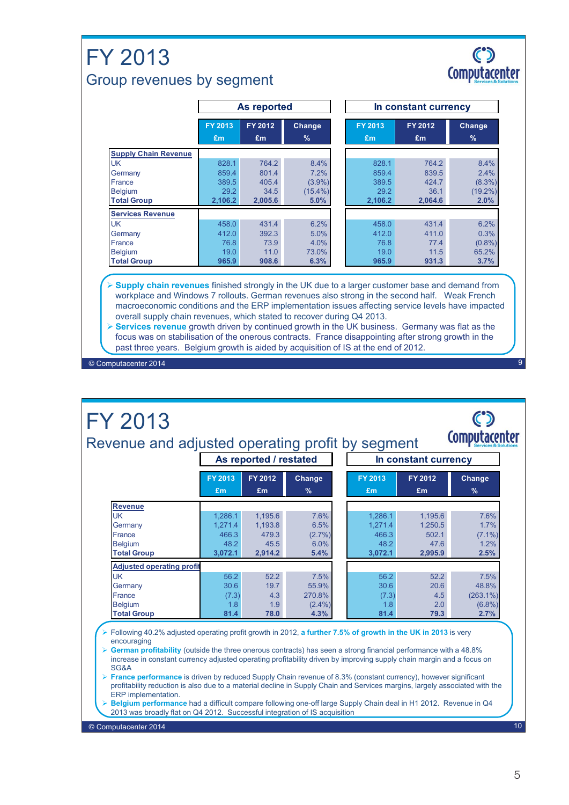### $\mathbf C$ FY 2013 Computacenter Group revenues by segment **As reported In constant currency FY 2013 FY 2012 Change FY 2013 FY 2012 Change £m £m % £m £m % Supply Chain Revenue** UK 828.1 828.1 764.2 8.4% 828.1 764.2 8.4% Germany 859.4 801.4 7.2% 859.4 839.5 2.4% France 389.5 405.4 (3.9%) 389.5 424.7 (8.3%) Belgium 29.2 34.5 (15.4%) 29.2 36.1 (19.2%) **Total Group 2,106.2 2,005.6 5.0% 2,106.2 2,064.6 2.0% Services Revenue** UK 458.0 431.4 6.2% 458.0 431.4 6.2% Germany 412.0 392.3 5.0% 412.0 411.0 0.3% France 76.8 73.9 4.0% 76.8 77.4 (0.8%) Belgium 19.0 11.0 73.0% 19.0 11.5 65.2% **Total Group 965.9 908.6 6.3% 965.9 931.3 3.7% Supply chain revenues** finished strongly in the UK due to a larger customer base and demand from workplace and Windows 7 rollouts. German revenues also strong in the second half. Weak French macroeconomic conditions and the ERP implementation issues affecting service levels have impacted overall supply chain revenues, which stated to recover during Q4 2013. **Services revenue** growth driven by continued growth in the UK business. Germany was flat as the focus was on stabilisation of the onerous contracts. France disappointing after strong growth in the past three years. Belgium growth is aided by acquisition of IS at the end of 2012. © Computacenter 2014 9

| <b>FY 2013</b><br>Revenue and adjusted operating profit by segment                                                                                                                                                                                                                                                                                                                                                                                                                                                                                                                                                                                                                                                                                                                                                                                                                        |                                                | As reported / restated                         |                                              |                                                | In constant currency                           | Computacenter                                     |    |
|-------------------------------------------------------------------------------------------------------------------------------------------------------------------------------------------------------------------------------------------------------------------------------------------------------------------------------------------------------------------------------------------------------------------------------------------------------------------------------------------------------------------------------------------------------------------------------------------------------------------------------------------------------------------------------------------------------------------------------------------------------------------------------------------------------------------------------------------------------------------------------------------|------------------------------------------------|------------------------------------------------|----------------------------------------------|------------------------------------------------|------------------------------------------------|---------------------------------------------------|----|
|                                                                                                                                                                                                                                                                                                                                                                                                                                                                                                                                                                                                                                                                                                                                                                                                                                                                                           | FY 2013<br>£m                                  | FY 2012<br>£m                                  | Change<br>$\frac{9}{6}$                      | FY 2013<br>£m                                  | FY 2012<br>£m                                  | Change<br>$\frac{9}{6}$                           |    |
| <b>Revenue</b><br><b>UK</b><br>Germany<br>France<br><b>Belgium</b><br><b>Total Group</b>                                                                                                                                                                                                                                                                                                                                                                                                                                                                                                                                                                                                                                                                                                                                                                                                  | 1.286.1<br>1,271.4<br>466.3<br>48.2<br>3,072.1 | 1.195.6<br>1,193.8<br>479.3<br>45.5<br>2,914.2 | 7.6%<br>6.5%<br>(2.7%<br>6.0%<br>5.4%        | 1.286.1<br>1,271.4<br>466.3<br>48.2<br>3.072.1 | 1.195.6<br>1,250.5<br>502.1<br>47.6<br>2.995.9 | 7.6%<br>1.7%<br>$(7.1\%)$<br>1.2%<br>2.5%         |    |
| <b>Adjusted operating profit</b><br><b>UK</b><br>Germany<br>France<br><b>Belgium</b><br><b>Total Group</b>                                                                                                                                                                                                                                                                                                                                                                                                                                                                                                                                                                                                                                                                                                                                                                                | 56.2<br>30.6<br>(7.3)<br>1.8<br>81.4           | 52.2<br>19.7<br>4.3<br>1.9<br>78.0             | 7.5%<br>55.9%<br>270.8%<br>$(2.4\%)$<br>4.3% | 56.2<br>30.6<br>(7.3)<br>1.8<br>81.4           | 52.2<br>20.6<br>4.5<br>2.0<br>79.3             | 7.5%<br>48.8%<br>$(263.1\%)$<br>$(6.8\%)$<br>2.7% |    |
| Following 40.2% adjusted operating profit growth in 2012, a further 7.5% of growth in the UK in 2013 is very<br>encouraging<br>$\triangleright$ German profitability (outside the three onerous contracts) has seen a strong financial performance with a 48.8%<br>increase in constant currency adjusted operating profitability driven by improving supply chain margin and a focus on<br>SG&A<br>$\triangleright$ France performance is driven by reduced Supply Chain revenue of 8.3% (constant currency), however significant<br>profitability reduction is also due to a material decline in Supply Chain and Services margins, largely associated with the<br>ERP implementation.<br>Belgium performance had a difficult compare following one-off large Supply Chain deal in H1 2012. Revenue in Q4<br>2013 was broadly flat on Q4 2012. Successful integration of IS acquisition |                                                |                                                |                                              |                                                |                                                |                                                   |    |
| © Computacenter 2014                                                                                                                                                                                                                                                                                                                                                                                                                                                                                                                                                                                                                                                                                                                                                                                                                                                                      |                                                |                                                |                                              |                                                |                                                |                                                   | 10 |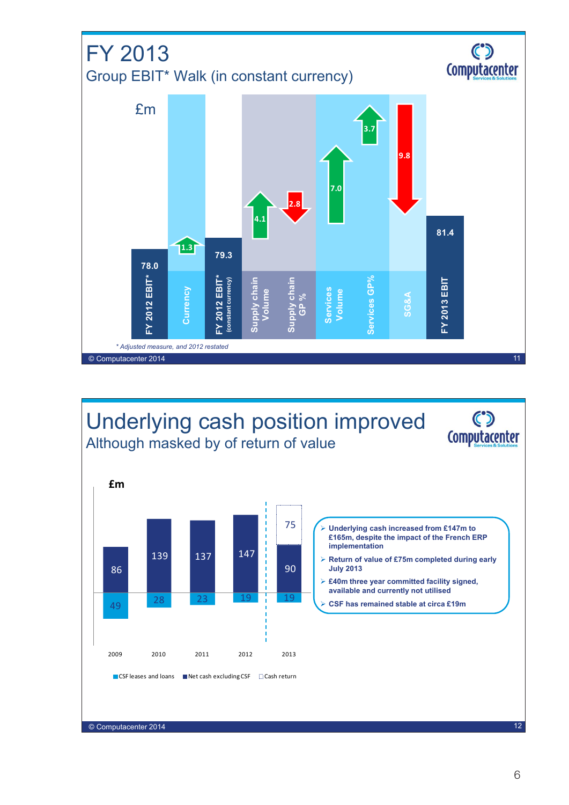

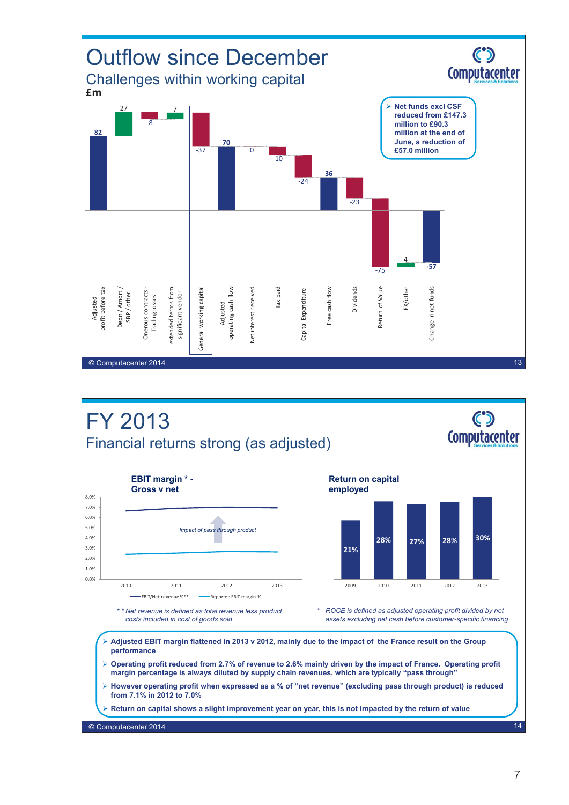





© Computacenter 2014

 $\mathbf C$ Computacenter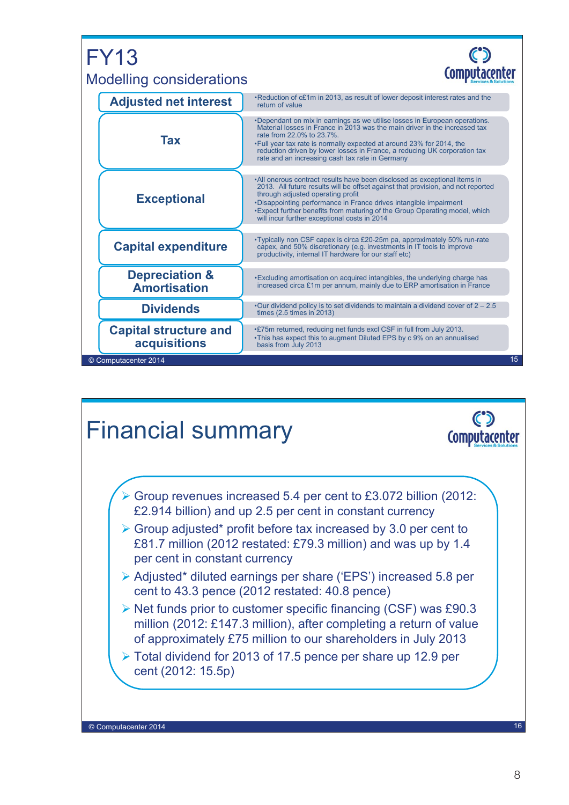## FY13 Modelling considerations



| <b>Adjusted net interest</b>                        | •Reduction of c£1m in 2013, as result of lower deposit interest rates and the<br>return of value                                                                                                                                                                                                                                                                                                       |
|-----------------------------------------------------|--------------------------------------------------------------------------------------------------------------------------------------------------------------------------------------------------------------------------------------------------------------------------------------------------------------------------------------------------------------------------------------------------------|
| <b>Tax</b>                                          | •Dependant on mix in earnings as we utilise losses in European operations.<br>Material losses in France in 2013 was the main driver in the increased tax<br>rate from 22.0% to 23.7%.<br>. Full year tax rate is normally expected at around 23% for 2014, the<br>reduction driven by lower losses in France, a reducing UK corporation tax<br>rate and an increasing cash tax rate in Germany         |
| <b>Exceptional</b>                                  | •All onerous contract results have been disclosed as exceptional items in<br>2013. All future results will be offset against that provision, and not reported<br>through adjusted operating profit<br>. Disappointing performance in France drives intangible impairment<br>*Expect further benefits from maturing of the Group Operating model, which<br>will incur further exceptional costs in 2014 |
| <b>Capital expenditure</b>                          | •Typically non CSF capex is circa £20-25m pa, approximately 50% run-rate<br>capex, and 50% discretionary (e.g. investments in IT tools to improve<br>productivity, internal IT hardware for our staff etc)                                                                                                                                                                                             |
| <b>Depreciation &amp;</b><br><b>Amortisation</b>    | •Excluding amortisation on acquired intangibles, the underlying charge has<br>increased circa £1m per annum, mainly due to ERP amortisation in France                                                                                                                                                                                                                                                  |
| <b>Dividends</b>                                    | •Our dividend policy is to set dividends to maintain a dividend cover of $2 - 2.5$<br>times $(2.5 \times \text{times in } 2013)$                                                                                                                                                                                                                                                                       |
| <b>Capital structure and</b><br><b>acquisitions</b> | .£75m returned, reducing net funds excl CSF in full from July 2013.<br>. This has expect this to augment Diluted EPS by c 9% on an annualised<br>basis from July 2013                                                                                                                                                                                                                                  |
| © Computacenter 2014                                |                                                                                                                                                                                                                                                                                                                                                                                                        |

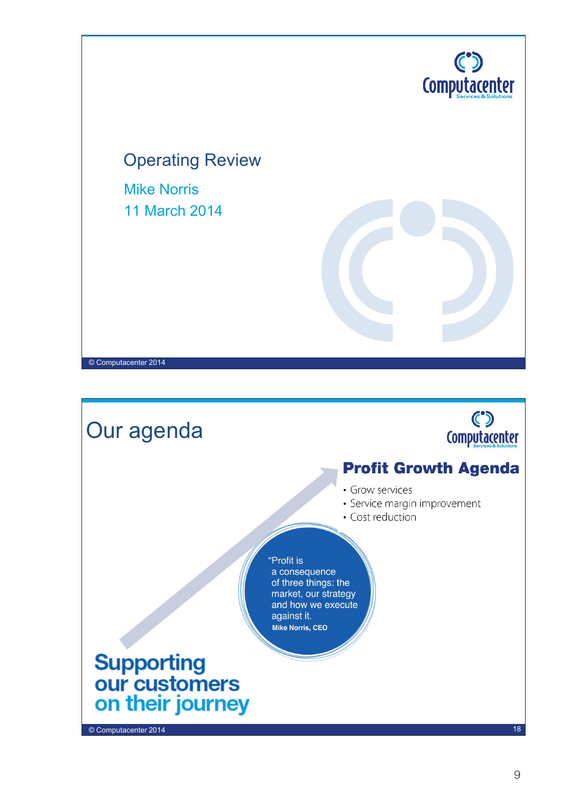

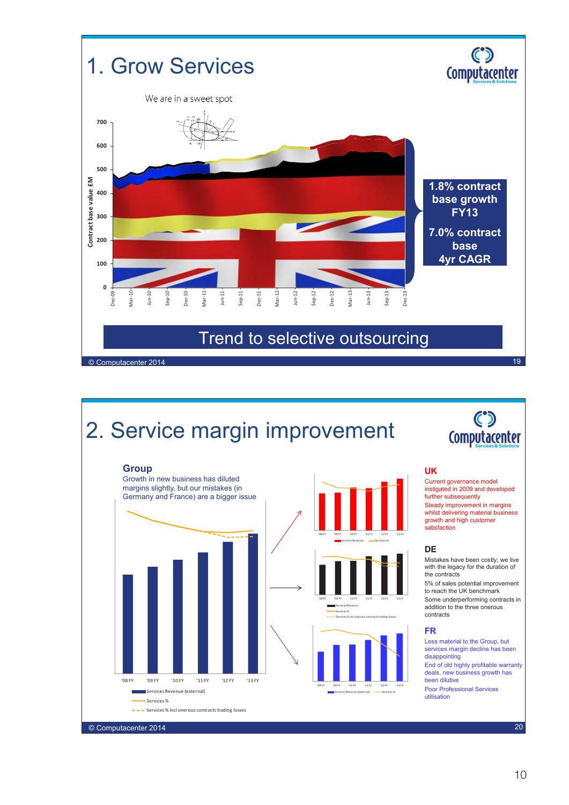

# 2. Service margin improvement

### © Computacenter 2014 5.0% '08 FY '09 FY '10 FY '11 FY '12 FY '13 FY Services Revenue (external) Services % Services % incl onerous contracts trading losses **Group** Growth in new business has diluted margins slightly, but our mistakes (in Germany and France) are a bigger issue '08 FY '09 FY '10 FY '11 FY '12 FY '13 FY '08 FY '09 FY '10 FY '11 FY '12 FY '13 FY '08 FY '09 FY '10 FY '11 FY '12 FY '13 FY



#### **UK**

Current governance model instigated in 2009 and developed further subsequently Steady improvement in margins whilst delivering material business growth and high customer satisfaction

#### **DE**

Services Revenue - Services %

Services % incl onerous contracts trading losses

Services Revenue (external) - Services %

Services Revenue Services %

Mistakes have been costly; we live with the legacy for the duration of the contracts 5% of sales potential improvement to reach the UK benchmark Some underperforming contracts in addition to the three onerous

## contracts

**FR** Less material to the Group, but services margin decline has been disappointing End of old highly profitable warranty

deals, new business growth has been dilutive Poor Professional Services utilisation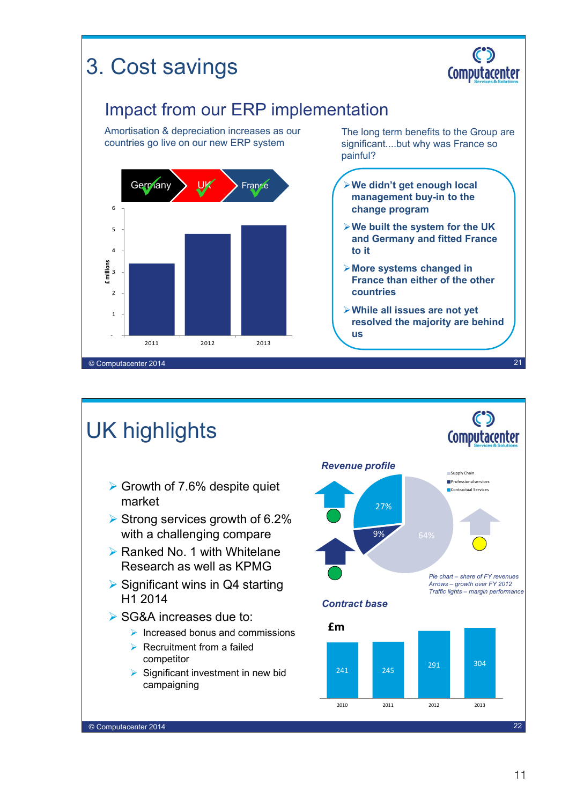#### $\mathbf{C}$ 3. Cost savings **Computacenter** Impact from our ERP implementation Amortisation & depreciation increases as our The long term benefits to the Group are countries go live on our new ERP system significant....but why was France so painful? Germany UK France France **We didn't get enough local management buy-in to the**  6 **change program We built the system for the UK**  5 **and Germany and fitted France to it**  4 **£ millions More systems changed in**  3 **France than either of the other countries**  2 **While all issues are not yet**  1 **resolved the majority are behind us**  - 2011 2012 2013 © Computacenter 2014 21

## UK highlights

- $\triangleright$  Growth of 7.6% despite quiet market
- $\triangleright$  Strong services growth of 6.2% with a challenging compare
- $\triangleright$  Ranked No. 1 with Whitelane Research as well as KPMG
- $\triangleright$  Significant wins in Q4 starting H1 2014
- SG&A increases due to:

© Computacenter 2014

- $\triangleright$  Increased bonus and commissions
- $\triangleright$  Recruitment from a failed competitor
- $\triangleright$  Significant investment in new bid campaigning



 $\mathbf C$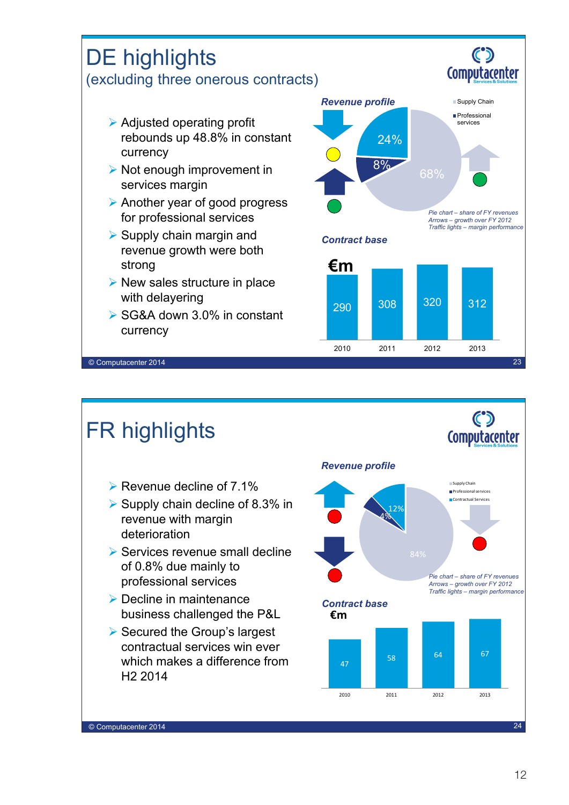

## FR highlights

- $\triangleright$  Revenue decline of 7.1%
- $\triangleright$  Supply chain decline of 8.3% in revenue with margin deterioration
- $\triangleright$  Services revenue small decline of 0.8% due mainly to professional services
- $\triangleright$  Decline in maintenance business challenged the P&L
- $\triangleright$  Secured the Group's largest contractual services win ever which makes a difference from H2 2014



24

 $\mathbf{C}$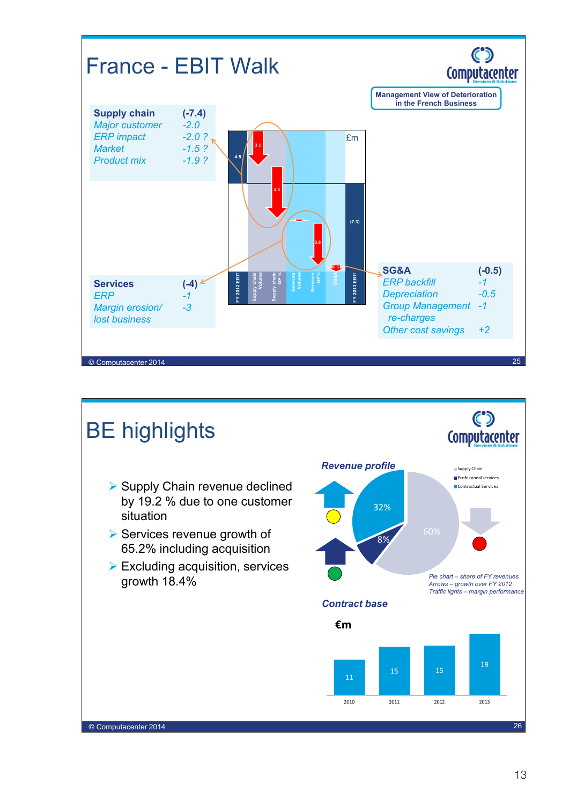

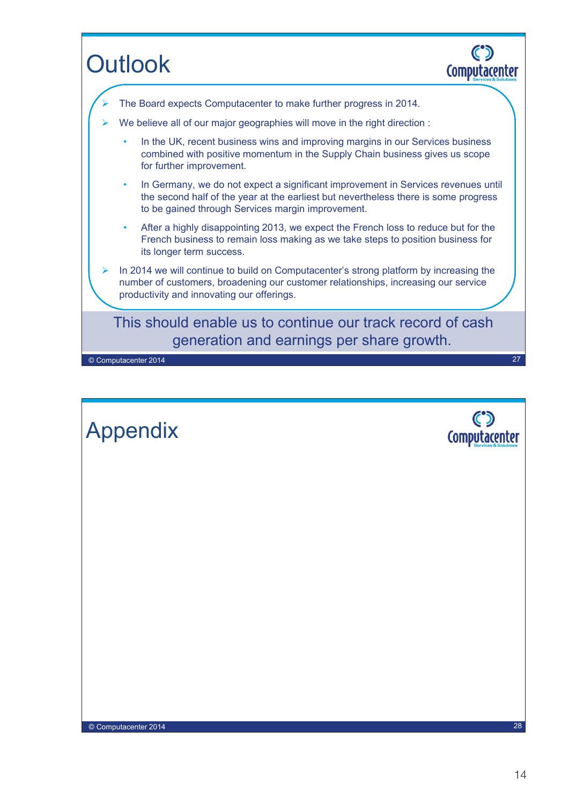

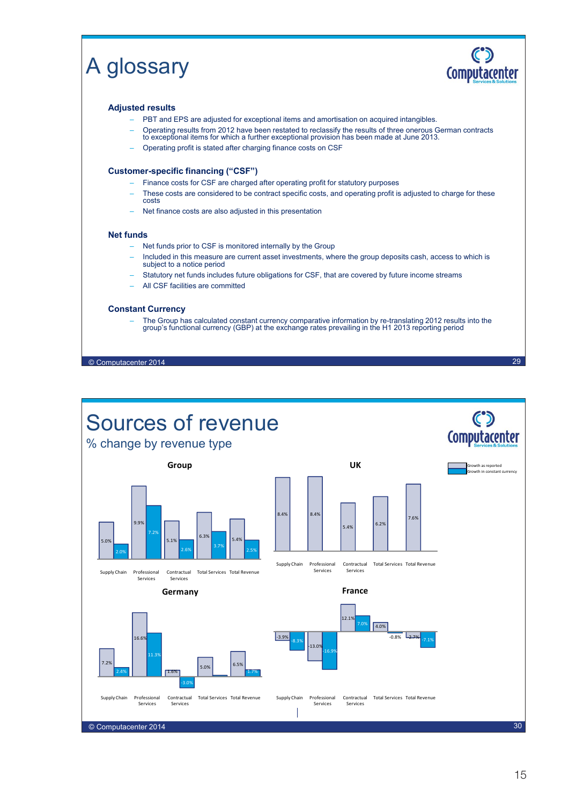

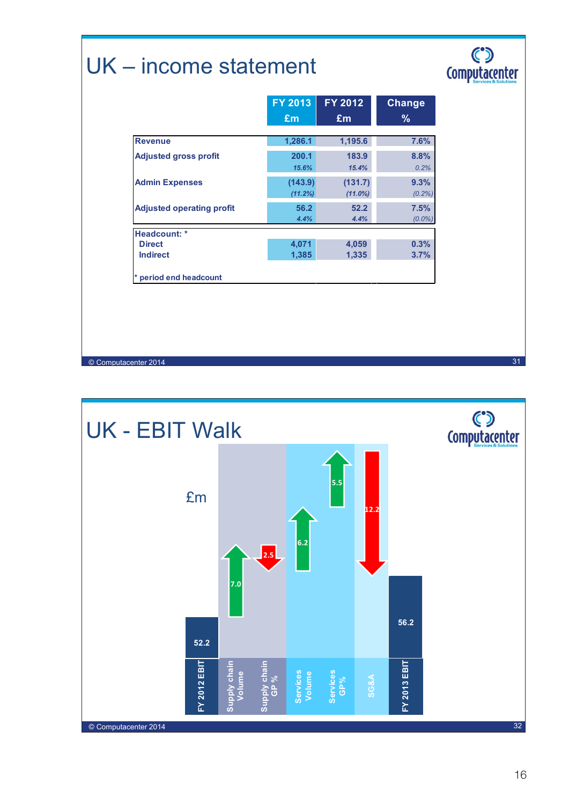# UK – income statement

| <b>FY 2013</b> | FY 2012    | <b>Change</b> |
|----------------|------------|---------------|
| £m             | £m         | $\%$          |
| 1,286.1        | 1,195.6    | 7.6%          |
| 200.1          | 183.9      | 8.8%          |
| 15.6%          | 15.4%      | 0.2%          |
| (143.9)        | (131.7)    | 9.3%          |
| (11.2%)        | $(11.0\%)$ | (0.2%)        |
| 56.2           | 52.2       | 7.5%          |
|                |            | $(0.0\%)$     |
|                |            |               |
| 4,071          | 4,059      | 0.3%          |
|                | 4.4%       | 4.4%          |

© Computacenter 2014

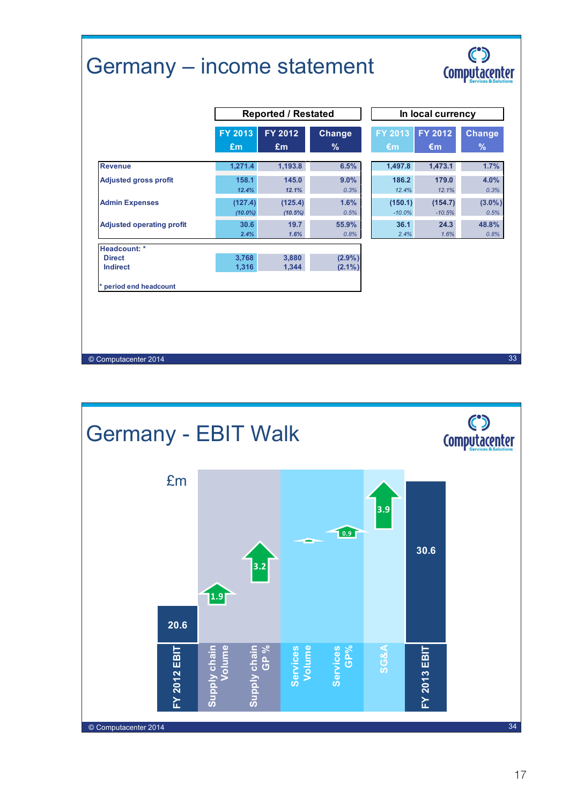# Germany – income statement



|                                  |                       | <b>Reported / Restated</b> |                      |                     | In local currency   |                   |  |
|----------------------------------|-----------------------|----------------------------|----------------------|---------------------|---------------------|-------------------|--|
|                                  | FY 2013               | FY 2012                    | Change               | FY 2013             | FY 2012             | <b>Change</b>     |  |
|                                  | £m                    | £m                         | %                    | €m                  | €m                  | %                 |  |
| <b>Revenue</b>                   | 1,271.4               | 1,193.8                    | 6.5%                 | 1,497.8             | 1,473.1             | 1.7%              |  |
| <b>Adjusted gross profit</b>     | 158.1<br>12.4%        | 145.0<br>12.1%             | 9.0%<br>0.3%         | 186.2<br>12.4%      | 179.0<br>12.1%      | 4.0%<br>0.3%      |  |
| <b>Admin Expenses</b>            | (127.4)<br>$(10.0\%)$ | (125.4)<br>$(10.5\%)$      | 1.6%<br>0.5%         | (150.1)<br>$-10.0%$ | (154.7)<br>$-10.5%$ | $(3.0\%)$<br>0.5% |  |
| <b>Adjusted operating profit</b> | 30.6<br>2.4%          | 19.7<br>1.6%               | 55.9%<br>0.8%        | 36.1<br>2.4%        | 24.3<br>1.6%        | 48.8%<br>0.8%     |  |
| Headcount: *                     |                       |                            |                      |                     |                     |                   |  |
| <b>Direct</b><br><b>Indirect</b> | 3,768<br>1,316        | 3,880<br>1,344             | (2.9% )<br>$(2.1\%)$ |                     |                     |                   |  |
| period end headcount             |                       |                            |                      |                     |                     |                   |  |
|                                  |                       |                            |                      |                     |                     |                   |  |
|                                  |                       |                            |                      |                     |                     |                   |  |
|                                  |                       |                            |                      |                     |                     |                   |  |
| © Computacenter 2014             |                       |                            |                      |                     |                     |                   |  |

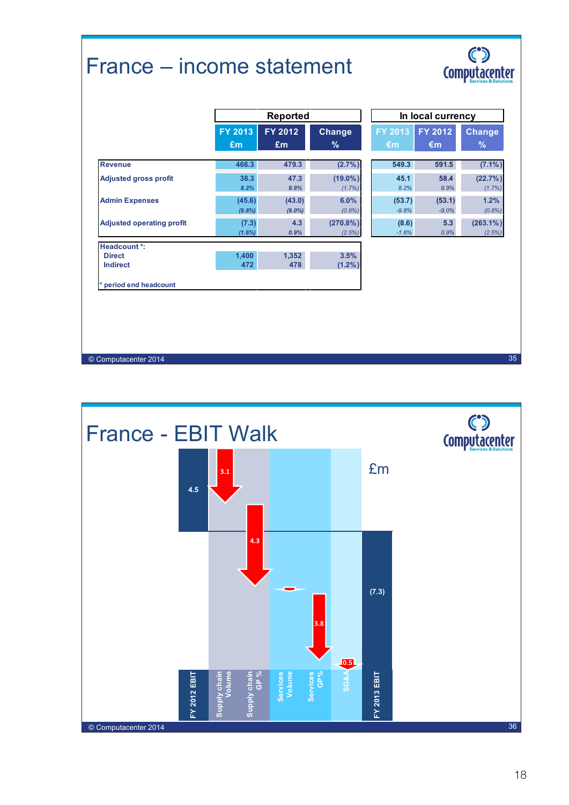# France – income statement



|                                  |                  | <b>Reported</b>     |                       |                         | In local currency |                       |
|----------------------------------|------------------|---------------------|-----------------------|-------------------------|-------------------|-----------------------|
|                                  | FY 2013<br>£m    | FY 2012<br>£m       | Change<br>%           | FY 2013<br>$\epsilon$ m | FY 2012<br>€m     | <b>Change</b><br>$\%$ |
| <b>Revenue</b>                   | 466.3            | 479.3               | (2.7%)                | 549.3                   | 591.5             | $(7.1\%)$             |
| <b>Adjusted gross profit</b>     | 38.3<br>8.2%     | 47.3<br>9.9%        | $(19.0\%)$<br>(1.7%)  | 45.1<br>8.2%            | 58.4<br>9.9%      | (22.7%)<br>(1.7%)     |
| <b>Admin Expenses</b>            | (45.6)<br>(9.8%) | (43.0)<br>$(9.0\%)$ | 6.0%<br>$(0.8\%)$     | (53.7)<br>$-9.8%$       | (53.1)<br>$-9.0%$ | 1.2%<br>(0.8%)        |
| <b>Adjusted operating profit</b> | (7.3)<br>(1.6%)  | 4.3<br>0.9%         | $(270.8\%)$<br>(2.5%) | (8.6)<br>$-1.6%$        | 5.3<br>0.9%       | $(263.1\%)$<br>(2.5%) |
| <b>Headcount *:</b>              |                  |                     |                       |                         |                   |                       |
| <b>Direct</b>                    | 1,400            | 1,352               | 3.5%                  |                         |                   |                       |
| <b>Indirect</b>                  | 472              | 478                 | $(1.2\%)$             |                         |                   |                       |
| period end headcount             |                  |                     |                       |                         |                   |                       |
|                                  |                  |                     |                       |                         |                   |                       |
|                                  |                  |                     |                       |                         |                   |                       |
|                                  |                  |                     |                       |                         |                   |                       |
| © Computacenter 2014             |                  |                     |                       |                         |                   |                       |

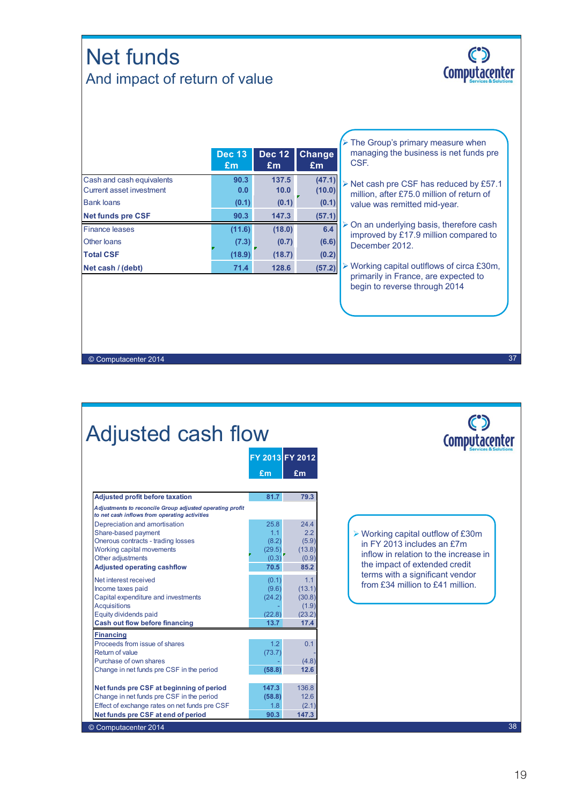### Net funds And impact of return of value



|                           | <b>Dec 13</b><br>Em | <b>Dec 12</b><br>Em | <b>Change</b><br>Em | $\triangleright$ The Group's primary measure when<br>managing the business is net funds pre<br>CSF. |
|---------------------------|---------------------|---------------------|---------------------|-----------------------------------------------------------------------------------------------------|
| Cash and cash equivalents | 90.3                | 137.5               | (47.1)              | > Net cash pre CSF has reduced by £57.1                                                             |
| Current asset investment  | 0.0                 | 10.0                | (10.0)              | million, after £75.0 million of return of                                                           |
| <b>Bank loans</b>         | (0.1)               | (0.1)               | (0.1)               | value was remitted mid-year.                                                                        |
| <b>Net funds pre CSF</b>  | 90.3                | 147.3               | (57.1)              |                                                                                                     |
| <b>Finance leases</b>     | (11.6)              | (18.0)              | 6.4                 | $\triangleright$ On an underlying basis, therefore cash<br>improved by £17.9 million compared to    |
| Other loans               | (7.3)               | (0.7)               | (6.6)               | December 2012.                                                                                      |
| <b>Total CSF</b>          | (18.9)              | (18.7)              | (0.2)               |                                                                                                     |
| Net cash / (debt)         | 71.4                | 128.6               | (57.2)              | $\triangleright$ Working capital outlflows of circa £30m,                                           |
|                           |                     |                     |                     | primarily in France, are expected to<br>begin to reverse through 2014                               |
|                           |                     |                     |                     |                                                                                                     |

© Computacenter 2014

37

 $\mathbf{C}$ **Computacenter** 

## Adjusted cash flow

|                                                                                                           |                 | FY 2013 FY 2012  |
|-----------------------------------------------------------------------------------------------------------|-----------------|------------------|
|                                                                                                           | £m              | £m               |
| <b>Adjusted profit before taxation</b>                                                                    | 81.7            | 79.3             |
| Adjustments to reconcile Group adjusted operating profit<br>to net cash inflows from operating activities |                 |                  |
| Depreciation and amortisation                                                                             | 25.8            | 244              |
| Share-based payment                                                                                       | 1.1             | 2.2              |
| Onerous contracts - trading losses                                                                        | (8.2)           | (5.9)            |
| Working capital movements<br>Other adjustments                                                            | (29.5)<br>(0.3) | (13.8)<br>(0.9)  |
| <b>Adjusted operating cashflow</b>                                                                        | 70.5            | 85.2             |
| Net interest received                                                                                     | (0.1)           | 1.1              |
| Income taxes paid<br>Capital expenditure and investments                                                  | (9.6)<br>(24.2) | (13.1)<br>(30.8) |
| <b>Acquisitions</b>                                                                                       |                 | (1.9)            |
| Equity dividends paid                                                                                     | (22.8)          | (23.2)           |
| <b>Cash out flow before financing</b>                                                                     | 13.7            | 17.4             |
| <b>Financing</b>                                                                                          |                 |                  |
| Proceeds from issue of shares                                                                             | 1.2             | 0.1              |
| Return of value                                                                                           | (73.7)          |                  |
| Purchase of own shares                                                                                    |                 | (4.8)            |
| Change in net funds pre CSF in the period                                                                 | (58.8)          | 12.6             |
| Net funds pre CSF at beginning of period                                                                  | 147.3           | 136.8            |
| Change in net funds pre CSF in the period                                                                 | (58.8)          | 12.6             |
| Effect of exchange rates on net funds pre CSF                                                             | 1.8             | (2.1)            |
| Net funds pre CSF at end of period                                                                        | 90.3            | 147.3            |
| © Computacenter 2014                                                                                      |                 |                  |

 Working capital outflow of £30m in FY 2013 includes an £7m inflow in relation to the increase in the impact of extended credit terms with a significant vendor from £34 million to £41 million.